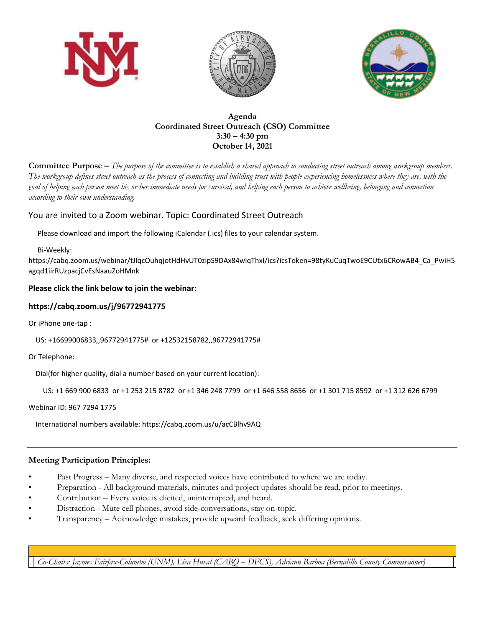





**Agenda Coordinated Street Outreach (CSO) Committee 3:30 – 4:30 pm October 14, 2021**

**Committee Purpose –** *The purpose of the committee is to establish a shared approach to conducting street outreach among workgroup members. The workgroup defines street outreach as the process of connecting and building trust with people experiencing homelessness where they are, with the goal of helping each person meet his or her immediate needs for survival, and helping each person to achieve wellbeing, belonging and connection according to their own understanding.*

## You are invited to a Zoom webinar. Topic: Coordinated Street Outreach

Please download and import the following iCalendar (.ics) files to your calendar system.

Bi-Weekly:

https://cabq.zoom.us/webinar/tJIqcOuhqjotHdHvUT0zipS9DAx84wlqThxI/ics?icsToken=98tyKuCuqTwoE9CUtx6CRowAB4\_Ca\_PwiH5 agqd1iirRUzpacjCvEsNaauZoHMnk

## **Please click the link below to join the webinar:**

## **https://cabq.zoom.us/j/96772941775**

Or iPhone one-tap :

US: +16699006833,,96772941775# or +12532158782,,96772941775#

Or Telephone:

Dial(for higher quality, dial a number based on your current location):

```
 US: +1 669 900 6833 or +1 253 215 8782 or +1 346 248 7799 or +1 646 558 8656 or +1 301 715 8592 or +1 312 626 6799
```
Webinar ID: 967 7294 1775

International numbers available: https://cabq.zoom.us/u/acCBlhv9AQ

## **Meeting Participation Principles:**

- Past Progress Many diverse, and respected voices have contributed to where we are today.
- Preparation All background materials, minutes and project updates should be read, prior to meetings.
- Contribution Every voice is elicited, uninterrupted, and heard.
- Distraction Mute cell phones, avoid side-conversations, stay on-topic.
- Transparency Acknowledge mistakes, provide upward feedback, seek differing opinions.

*Co-Chairs: Jaymes Fairfax-Columbo (UNM), Lisa Huval (CABQ – DFCS), Adriann Barboa (Bernalillo County Commissioner)*